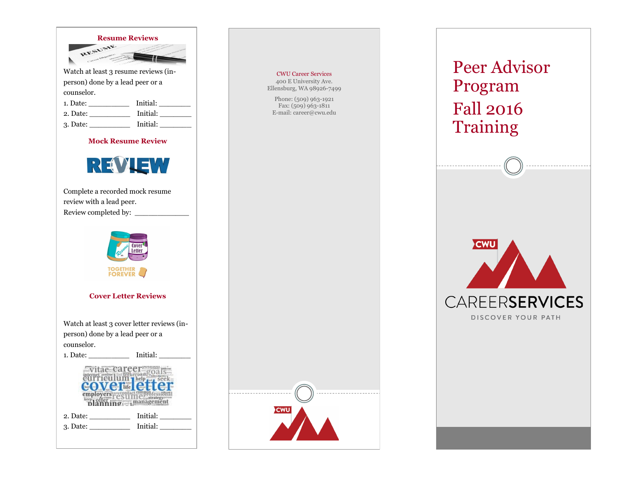

| 1. Dace. |          |
|----------|----------|
| 2. Date: | Initial: |
| 3. Date: | Initial: |

**Mock Resume Review**



Complete a recorded mock resume review with a lead peer. Review completed by: \_\_\_\_\_\_\_\_\_\_\_\_





CWU Career Services 400 E University Ave. Ellensburg, WA 98926-7499 Phone: (509) 963-1921 Fax: (509) 963-1811 E-mail: career@cwu.edu

## Peer Advisor Program Fall 2016 Training